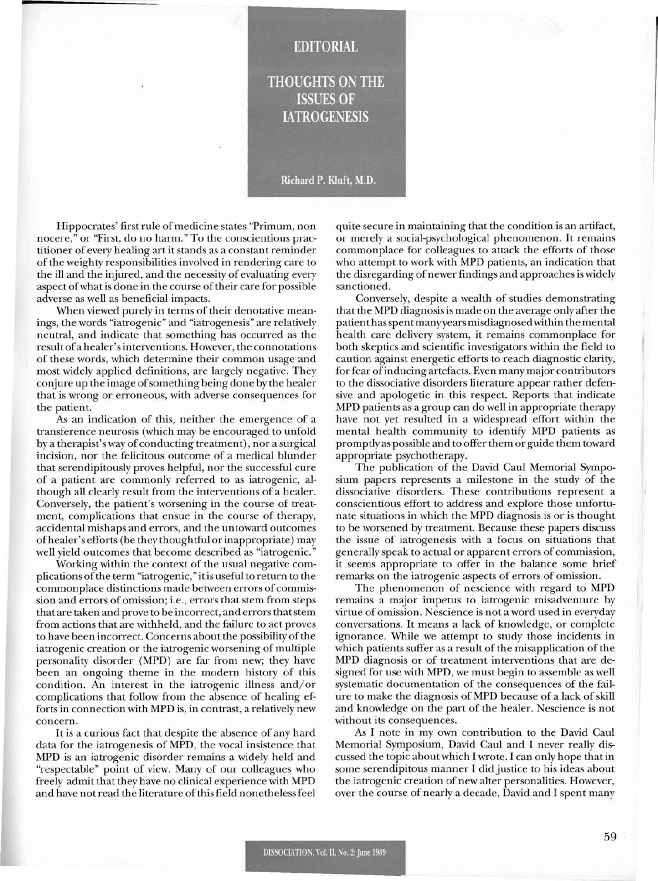## **EDITORIAL**

## THOUGHTS ON THE **ISSUES OF IATROGENESIS**

## Richard P. Kluft, M.D.

Hippocrates' first rule of medicine states "Primum, non nocere," or "First, do no harm." To the conscientious practitioner of every healing art it stands as a constant reminder of the weighty responsibilities involved in rendering care to the ill and the injured, and the necessity of evaluating every aspect of what is done in the course of their care for possible adverse as well as beneficial impacts.

When viewed purely in terms of their denotative meanings, the words "iatrogenic" and "iatrogenesis" are relatively neutral, and indicate that something has occurred as the resultofa healer'sinterventions. However, the connotations of these words, which determine their common usage and most widely applied definitions, are largely negative. They conjure up the image of something being done by the healer that is wrong or erroneous, with adverse consequences for the patient.

As an indication of this, neither the emergence of a transference neurosis (which may be encouraged to unfold by a therapist's way of conducting treatment), nor a surgical incision, nor the felicitous outcome of a medical blunder that serendipitously proves helpful, nor the successful cure of a patient are commonly referred to as iatrogenic, although all clearly result from the interventions of a healer. Conversely, the patient's worsening in the course of treatment, complications that ensue in the course of therapy, accidental mishaps and errors, and the untoward outcomes ofhealer's efforts (be they thoughtful orinappropriate) may well yield outcomes that become described as "iatrogenic."

Working within the context of the usual negative complications ofthe term "iatrogenic," itis useful to return to the commonplace distinctions made between errors of commission and errors of omission; i.e., errors that stem from steps that are taken and prove to be incorrect, and errors thatstem from actions that are withheld, and the failure to act proves to have been incorrect. Concerns about the possibility of the iatrogenic creation or the iatrogenic worsening of multiple personality disorder (MPD) are far from new; they have been an ongoing theme in the modern history of this condition. An interest in the iatrogenic illness and/or complications that follow from the absence of healing efforts in connection with MPD is, in contrast, a relatively new concern.

It is a curious fact that despite the absence of any hard data for the iatrogenesis of MPD, the vocal insistence that MPD is an iatrogenic disorder remains a widely held and "respectable" point of view. Many of our colleagues who freely admit that they have no clinical experience with MPD and have not read the literature of this field nonetheless feel quite secure in maintaining that the condition is an artifact, or merely a social-psychological phenomenon. It remains commonplace for colleagues to attack the efforts of those who attempt to work with MPD patients, an indication that the disregarding of newer findings and approaches is widely sanctioned.

Conversely, despite a wealth of studies demonstrating that the MPD diagnosis is made on the average only after the patienthasspentmanyyears misdiagnosed within the mental health care delivery system, it remains commonplace for both skeptics and scientific investigators within the field to caution against energetic efforts to reach diagnostic clarity, for fear ofinducing artefacts. Even many major contributors to the dissociative disorders literature appear rather defensive and apologetic in this respect. Reports that indicate MPD patients as a group can do well in appropriate therapy have not yet resulted in a widespread effort within the mental health community to identify MPD patients as promptly as possible and to offer them or guide them toward appropriate psychotherapy.

The publication of the David Caul Memorial Symposium papers represents a milestone in the study of the dissociative disorders. These contributions represent a conscientious effort to address and explore those unfortunate situations in which the MPD diagnosis is or is thought to be worsened by treatment. Because these papers discuss the issue of iatrogenesis with a focus on situations that generally speak to actual or apparent errors of commission, it seems appropriate to offer in the balance some brief remarks on the iatrogenic aspects of errors of omission.

The phenomenon of nescience with regard to MPD remains a major impetus to iatrogenic misadventure by virtue of omission. Nescience is not a word used in everyday conversations. It means a lack of knowledge, or complete ignorance. While we attempt to study those incidents in which patients suffer as a result of the misapplication of the MPD diagnosis or of treatment interventions that are designed for use with MPD, we must begin to assemble as well systematic documentation of the consequences of the failure to make the diagnosis of MPD because of a lack of skill and knowledge on the part of the healer. Nescience is not without its consequences.

As I note in my own contribution to the David Caul Memorial Symposium, David Caul and I never really discussed the topic about which I wrote. I can only hope that in some serendipitous manner I did justice to his ideas about the iatrogenic creation of new alter personalities. However, over the course of nearly a decade, David and I spent many